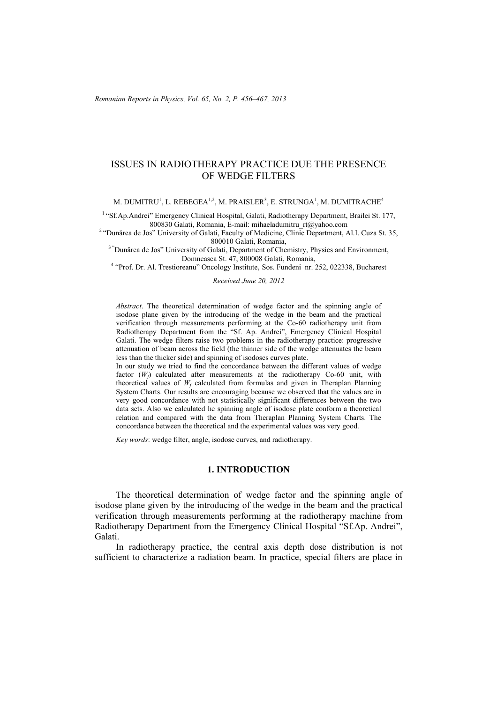## ISSUES IN RADIOTHERAPY PRACTICE DUE THE PRESENCE OF WEDGE FILTERS

M. DUMITRU $^1$ , L. REBEGEA $^{1,2}$ , M. PRAISLER $^3$ , E. STRUNGA $^1$ , M. DUMITRACHE $^4$ 

<sup>1</sup> "Sf.Ap.Andrei" Emergency Clinical Hospital, Galati, Radiotherapy Department, Brailei St. 177, 800830 Galati, Romania, E-mail: mihaeladumitru rt@yahoo.com

<sup>2</sup> "Dunărea de Jos" University of Galati, Faculty of Medicine, Clinic Department, Al.I. Cuza St. 35,<br>800010 Galati, Romania.

<sup>3</sup> "Dunărea de Jos" University of Galati, Department of Chemistry, Physics and Environment,

Domneasca St. 47, 800008 Galati, Romania, 4 "Prof. Dr. Al. Trestioreanu" Oncology Institute, Sos. Fundeni nr. 252, 022338, Bucharest

*Received June 20, 2012* 

*Abstract*. The theoretical determination of wedge factor and the spinning angle of isodose plane given by the introducing of the wedge in the beam and the practical verification through measurements performing at the Co-60 radiotherapy unit from Radiotherapy Department from the "Sf. Ap. Andrei", Emergency Clinical Hospital Galati. The wedge filters raise two problems in the radiotherapy practice: progressive attenuation of beam across the field (the thinner side of the wedge attenuates the beam less than the thicker side) and spinning of isodoses curves plate.

In our study we tried to find the concordance between the different values of wedge factor  $(W_f)$  calculated after measurements at the radiotherapy Co-60 unit, with theoretical values of  $W_f$  calculated from formulas and given in Theraplan Planning System Charts. Our results are encouraging because we observed that the values are in very good concordance with not statistically significant differences between the two data sets. Also we calculated he spinning angle of isodose plate conform a theoretical relation and compared with the data from Theraplan Planning System Charts. The concordance between the theoretical and the experimental values was very good.

*Key words*: wedge filter, angle, isodose curves, and radiotherapy.

### **1. INTRODUCTION**

The theoretical determination of wedge factor and the spinning angle of isodose plane given by the introducing of the wedge in the beam and the practical verification through measurements performing at the radiotherapy machine from Radiotherapy Department from the Emergency Clinical Hospital "Sf.Ap. Andrei", Galati.

In radiotherapy practice, the central axis depth dose distribution is not sufficient to characterize a radiation beam. In practice, special filters are place in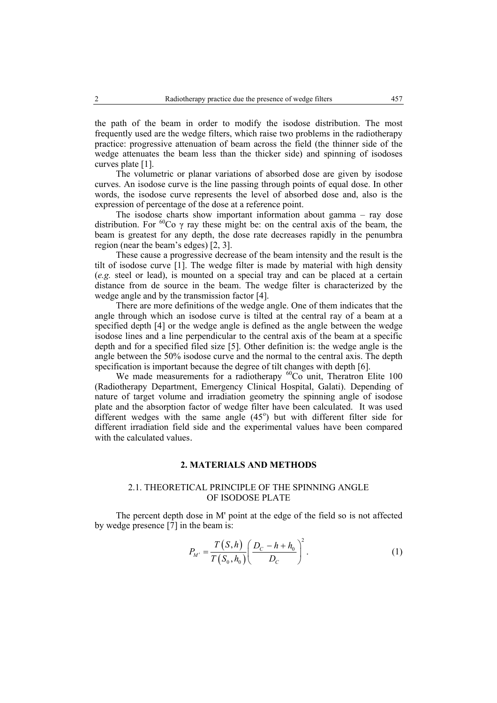the path of the beam in order to modify the isodose distribution. The most frequently used are the wedge filters, which raise two problems in the radiotherapy practice: progressive attenuation of beam across the field (the thinner side of the wedge attenuates the beam less than the thicker side) and spinning of isodoses curves plate [1].

The volumetric or planar variations of absorbed dose are given by isodose curves. An isodose curve is the line passing through points of equal dose. In other words, the isodose curve represents the level of absorbed dose and, also is the expression of percentage of the dose at a reference point.

The isodose charts show important information about gamma – ray dose distribution. For <sup>60</sup>Co  $\gamma$  ray these might be: on the central axis of the beam, the beam is greatest for any depth, the dose rate decreases rapidly in the penumbra region (near the beam's edges) [2, 3].

These cause a progressive decrease of the beam intensity and the result is the tilt of isodose curve [1]. The wedge filter is made by material with high density (*e.g.* steel or lead), is mounted on a special tray and can be placed at a certain distance from de source in the beam. The wedge filter is characterized by the wedge angle and by the transmission factor [4].

There are more definitions of the wedge angle. One of them indicates that the angle through which an isodose curve is tilted at the central ray of a beam at a specified depth [4] or the wedge angle is defined as the angle between the wedge isodose lines and a line perpendicular to the central axis of the beam at a specific depth and for a specified filed size [5]. Other definition is: the wedge angle is the angle between the 50% isodose curve and the normal to the central axis. The depth specification is important because the degree of tilt changes with depth [6].

We made measurements for a radiotherapy  ${}^{60}Co$  unit, Theratron Elite 100 (Radiotherapy Department, Emergency Clinical Hospital, Galati). Depending of nature of target volume and irradiation geometry the spinning angle of isodose plate and the absorption factor of wedge filter have been calculated. It was used different wedges with the same angle  $(45^{\circ})$  but with different filter side for different irradiation field side and the experimental values have been compared with the calculated values.

#### **2. MATERIALS AND METHODS**

#### 2.1. THEORETICAL PRINCIPLE OF THE SPINNING ANGLE OF ISODOSE PLATE

The percent depth dose in M' point at the edge of the field so is not affected by wedge presence  $\overline{7}$ ] in the beam is:

$$
P_{M'} = \frac{T(S, h)}{T(S_0, h_0)} \left( \frac{D_C - h + h_0}{D_C} \right)^2.
$$
 (1)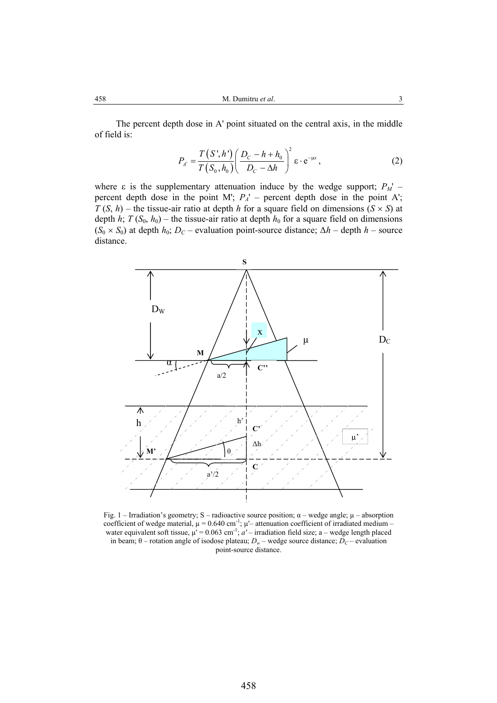The percent depth dose in A' point situated on the central axis, in the middle of field is:

$$
P_{A'} = \frac{T(S', h')}{T(S_0, h_0)} \left( \frac{D_C - h + h_0}{D_C - \Delta h} \right)^2 \varepsilon \cdot e^{-\mu x}, \tag{2}
$$

where  $\varepsilon$  is the supplementary attenuation induce by the wedge support;  $P_M'$  – percent depth dose in the point M';  $P_A'$  – percent depth dose in the point A'; *T* (*S*, *h*) – the tissue-air ratio at depth *h* for a square field on dimensions ( $S \times S$ ) at depth *h*;  $T(S_0, h_0)$  – the tissue-air ratio at depth  $h_0$  for a square field on dimensions  $(S_0 \times S_0)$  at depth *h*<sub>0</sub>; *D<sub>C</sub>* – evaluation point-source distance;  $\Delta h$  – depth *h* – source distance.



Fig. 1 – Irradiation's geometry; S – radioactive source position;  $\alpha$  – wedge angle;  $\mu$  – absorption coefficient of wedge material,  $\mu = 0.640 \text{ cm}^{-1}$ ;  $\mu$  – attenuation coefficient of irradiated medium – water equivalent soft tissue,  $\mu$ <sup>'</sup> = 0.063 cm<sup>-1</sup>; *a'* – irradiation field size; a – wedge length placed in beam;  $\theta$  – rotation angle of isodose plateau;  $D_w$  – wedge source distance;  $D_C$  – evaluation point-source distance.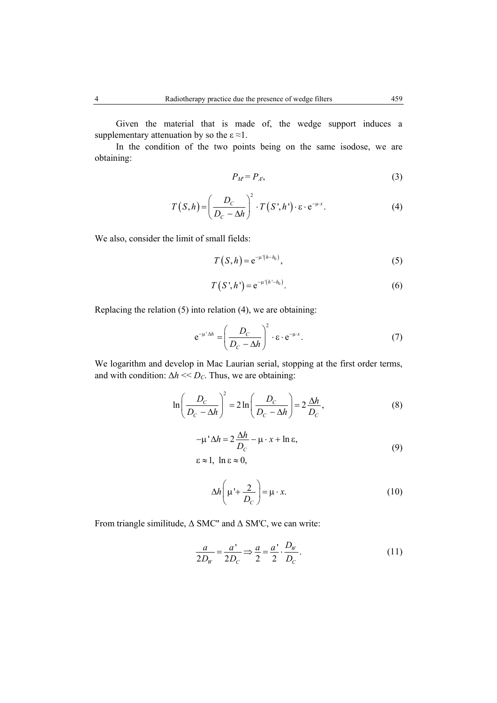Given the material that is made of, the wedge support induces a supplementary attenuation by so the  $\varepsilon \approx 1$ .

In the condition of the two points being on the same isodose, we are obtaining:

$$
P_M = P_A, \tag{3}
$$

$$
T(S,h) = \left(\frac{D_C}{D_C - \Delta h}\right)^2 \cdot T(S',h') \cdot \varepsilon \cdot e^{-\mu \cdot x}.
$$
 (4)

We also, consider the limit of small fields:

$$
T(S,h) = e^{-\mu'(h-h_0)}, \qquad (5)
$$

$$
T(S', h') = e^{-\mu'(h'-h_0)}.
$$
 (6)

Replacing the relation (5) into relation (4), we are obtaining:

$$
e^{-\mu^* \Delta h} = \left(\frac{D_C}{D_C - \Delta h}\right)^2 \cdot \varepsilon \cdot e^{-\mu \cdot x}.
$$
 (7)

We logarithm and develop in Mac Laurian serial, stopping at the first order terms, and with condition:  $\Delta h \ll D_C$ . Thus, we are obtaining:

$$
\ln\left(\frac{D_C}{D_C - \Delta h}\right)^2 = 2\ln\left(\frac{D_C}{D_C - \Delta h}\right) = 2\frac{\Delta h}{D_C},\tag{8}
$$

$$
-\mu' \Delta h = 2 \frac{\Delta h}{D_c} - \mu \cdot x + \ln \varepsilon,
$$
  
\n
$$
\varepsilon \approx 1, \ \ln \varepsilon \approx 0,
$$
\n(9)

$$
\Delta h \left( \mu' + \frac{2}{D_c} \right) = \mu \cdot x. \tag{10}
$$

From triangle similitude, ∆ SMC'' and ∆ SM'C, we can write:

$$
\frac{a}{2D_W} = \frac{a'}{2D_C} \Rightarrow \frac{a}{2} = \frac{a'}{2} \cdot \frac{D_W}{D_C}.
$$
\n(11)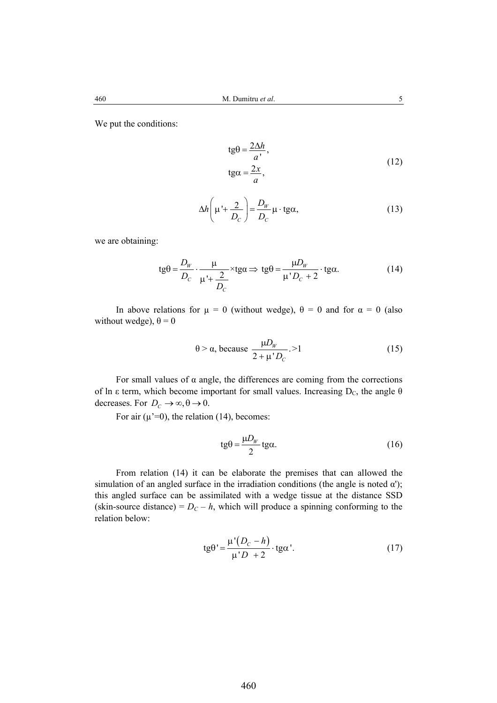We put the conditions:

$$
tg\theta = \frac{2\Delta h}{a'},
$$
  
\n
$$
tg\alpha = \frac{2x}{a},
$$
\n(12)

$$
\Delta h \left( \mu' + \frac{2}{D_c} \right) = \frac{D_W}{D_c} \mu \cdot \text{tg}\alpha,
$$
\n(13)

we are obtaining:

$$
tg\theta = \frac{D_w}{D_c} \cdot \frac{\mu}{\mu' + \frac{2}{D_c}} \times tg\alpha \Rightarrow tg\theta = \frac{\mu D_w}{\mu' D_c + 2} \cdot tg\alpha.
$$
 (14)

In above relations for  $\mu = 0$  (without wedge),  $\theta = 0$  and for  $\alpha = 0$  (also without wedge),  $\theta = 0$ 

$$
\theta > \alpha, \text{ because } \frac{\mu D_W}{2 + \mu' D_C} > 1 \tag{15}
$$

For small values of  $\alpha$  angle, the differences are coming from the corrections of ln ε term, which become important for small values. Increasing  $D_c$ , the angle  $\theta$ decreases. For  $D_C \to \infty, \theta \to 0$ .

For air  $(\mu^2=0)$ , the relation (14), becomes:

$$
tg\theta = \frac{\mu D_W}{2}tg\alpha.
$$
 (16)

From relation (14) it can be elaborate the premises that can allowed the simulation of an angled surface in the irradiation conditions (the angle is noted  $\alpha'$ ); this angled surface can be assimilated with a wedge tissue at the distance SSD (skin-source distance) =  $D<sub>C</sub> - h$ , which will produce a spinning conforming to the relation below:

$$
tg\theta' = \frac{\mu'(D_c - h)}{\mu'D + 2} \cdot tg\alpha'. \tag{17}
$$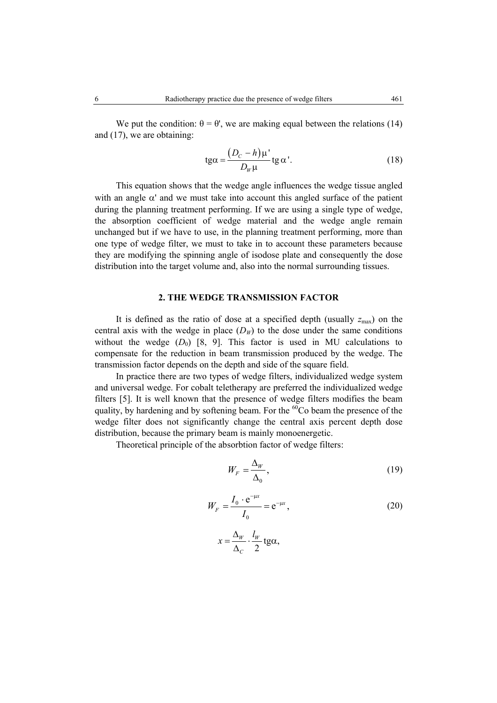We put the condition:  $\theta = \theta'$ , we are making equal between the relations (14) and (17), we are obtaining:

$$
tg\alpha = \frac{(D_c - h)\mu'}{D_\nu\mu}tg\alpha'.
$$
 (18)

This equation shows that the wedge angle influences the wedge tissue angled with an angle  $\alpha'$  and we must take into account this angled surface of the patient during the planning treatment performing. If we are using a single type of wedge, the absorption coefficient of wedge material and the wedge angle remain unchanged but if we have to use, in the planning treatment performing, more than one type of wedge filter, we must to take in to account these parameters because they are modifying the spinning angle of isodose plate and consequently the dose distribution into the target volume and, also into the normal surrounding tissues.

#### **2. THE WEDGE TRANSMISSION FACTOR**

It is defined as the ratio of dose at a specified depth (usually  $z_{\text{max}}$ ) on the central axis with the wedge in place  $(D_W)$  to the dose under the same conditions without the wedge  $(D_0)$  [8, 9]. This factor is used in MU calculations to compensate for the reduction in beam transmission produced by the wedge. The transmission factor depends on the depth and side of the square field.

In practice there are two types of wedge filters, individualized wedge system and universal wedge. For cobalt teletherapy are preferred the individualized wedge filters [5]. It is well known that the presence of wedge filters modifies the beam quality, by hardening and by softening beam. For the  ${}^{60}Co$  beam the presence of the wedge filter does not significantly change the central axis percent depth dose distribution, because the primary beam is mainly monoenergetic.

Theoretical principle of the absorbtion factor of wedge filters:

$$
W_F = \frac{\Delta_W}{\Delta_0},\tag{19}
$$

$$
W_F = \frac{I_0 \cdot e^{-\mu x}}{I_0} = e^{-\mu x},
$$
\n(20)

$$
x = \frac{\Delta_W}{\Delta_C} \cdot \frac{l_W}{2} \text{ tga},
$$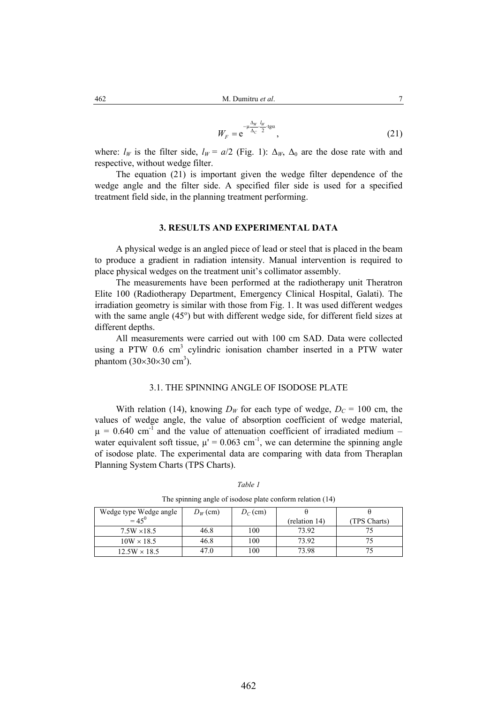$$
W_F = e^{-\mu \frac{\Delta_W}{\Delta_C} \cdot \frac{l_W}{2} \cdot \text{tg}\alpha},\tag{21}
$$

where:  $l_W$  is the filter side,  $l_W = a/2$  (Fig. 1):  $\Delta_W$ ,  $\Delta_0$  are the dose rate with and respective, without wedge filter.

The equation (21) is important given the wedge filter dependence of the wedge angle and the filter side. A specified filer side is used for a specified treatment field side, in the planning treatment performing.

#### **3. RESULTS AND EXPERIMENTAL DATA**

A physical wedge is an angled piece of lead or steel that is placed in the beam to produce a gradient in radiation intensity. Manual intervention is required to place physical wedges on the treatment unit's collimator assembly.

The measurements have been performed at the radiotherapy unit Theratron Elite 100 (Radiotherapy Department, Emergency Clinical Hospital, Galati). The irradiation geometry is similar with those from Fig. 1. It was used different wedges with the same angle  $(45^{\circ})$  but with different wedge side, for different field sizes at different depths.

 All measurements were carried out with 100 cm SAD. Data were collected using a PTW 0.6 cm<sup>3</sup> cylindric ionisation chamber inserted in a PTW water phantom  $(30\times30\times30 \text{ cm}^3)$ .

### 3.1. THE SPINNING ANGLE OF ISODOSE PLATE

With relation (14), knowing  $D_W$  for each type of wedge,  $D_C = 100$  cm, the values of wedge angle, the value of absorption coefficient of wedge material,  $\mu$  = 0.640 cm<sup>-1</sup> and the value of attenuation coefficient of irradiated medium – water equivalent soft tissue,  $\mu$ <sup>'</sup> = 0.063 cm<sup>-1</sup>, we can determine the spinning angle of isodose plate. The experimental data are comparing with data from Theraplan Planning System Charts (TPS Charts).

| The spinning angle of isodose plate conform relation (14)      |      |     |               |              |  |  |
|----------------------------------------------------------------|------|-----|---------------|--------------|--|--|
| Wedge type Wedge angle<br>= $45^0$<br>$D_W$ (cm)<br>$D_C$ (cm) |      |     |               |              |  |  |
|                                                                |      |     | (relation 14) | (TPS Charts) |  |  |
| $7.5W \times 18.5$                                             | 46.8 | 100 | 73.92         |              |  |  |
| $10W \times 18.5$                                              | 46.8 | 100 | 73.92         |              |  |  |
| $12.5W \times 18.5$                                            | 47.0 | 100 | 73.98         |              |  |  |

*Table 1*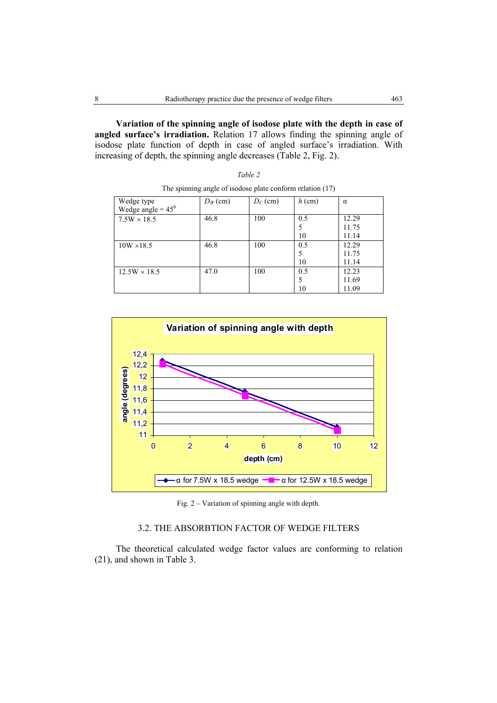**Variation of the spinning angle of isodose plate with the depth in case of angled surface's irradiation.** Relation 17 allows finding the spinning angle of isodose plate function of depth in case of angled surface's irradiation. With increasing of depth, the spinning angle decreases (Table 2, Fig. 2).

| The spinning angle of isoubse plate combined relation (17) |            |            |          |          |  |
|------------------------------------------------------------|------------|------------|----------|----------|--|
| Wedge type                                                 | $D_W$ (cm) | $D_C$ (cm) | $h$ (cm) | $\alpha$ |  |
| Wedge angle = $45^0$                                       |            |            |          |          |  |
| $7.5W \times 18.5$                                         | 46.8       | 100        | 0.5      | 12.29    |  |
|                                                            |            |            | 5        | 11.75    |  |
|                                                            |            |            | 10       | 11.14    |  |
| $10W \times 18.5$                                          | 46.8       | 100        | 0.5      | 12.29    |  |
|                                                            |            |            | 5        | 11.75    |  |
|                                                            |            |            | 10       | 11.14    |  |
| $12.5W \times 18.5$                                        | 47.0       | 100        | 0.5      | 12.23    |  |
|                                                            |            |            | 5        | 11.69    |  |
|                                                            |            |            | 10       | 11.09    |  |

The spinning angle of isodose plate conform relation (17)

*Table 2* 



Fig. 2 – Variation of spinning angle with depth.

# 3.2. THE ABSORBTION FACTOR OF WEDGE FILTERS

The theoretical calculated wedge factor values are conforming to relation (21), and shown in Table 3.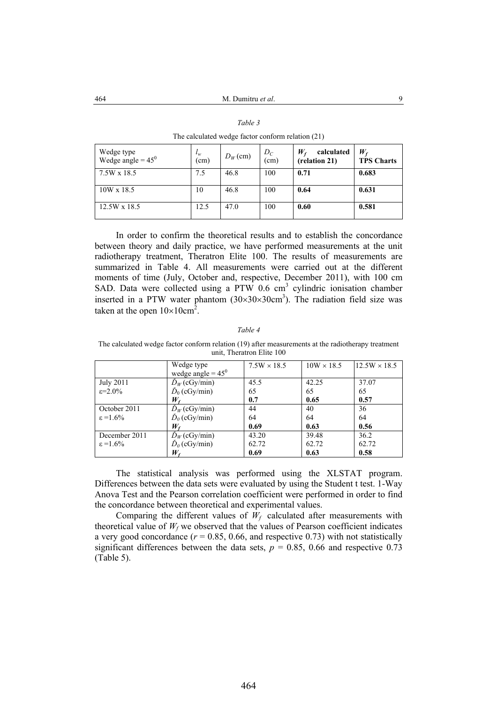*Table 3* 

| The calculated wedge factor conform relation (21) |                   |            |               |                                            |                                  |  |
|---------------------------------------------------|-------------------|------------|---------------|--------------------------------------------|----------------------------------|--|
| Wedge type<br>Wedge angle = $45^0$                | $\iota_w$<br>(cm) | $D_W$ (cm) | $D_C$<br>(cm) | calculated<br>$W_{\rm f}$<br>(relation 21) | $W_{\rm f}$<br><b>TPS Charts</b> |  |
| 7.5W x 18.5                                       | 7.5               | 46.8       | 100           | 0.71                                       | 0.683                            |  |
| $10W \times 18.5$                                 | 10                | 46.8       | 100           | 0.64                                       | 0.631                            |  |
| 12.5W x 18.5                                      | 12.5              | 47.0       | 100           | 0.60                                       | 0.581                            |  |

In order to confirm the theoretical results and to establish the concordance between theory and daily practice, we have performed measurements at the unit radiotherapy treatment, Theratron Elite 100. The results of measurements are summarized in Table 4. All measurements were carried out at the different moments of time (July, October and, respective, December 2011), with 100 cm SAD. Data were collected using a PTW  $0.6 \text{ cm}^3$  cylindric ionisation chamber inserted in a PTW water phantom  $(30\times30\times30\times10^{3})$ . The radiation field size was taken at the open  $10\times10$ cm<sup>2</sup>.

#### *Table 4*

The calculated wedge factor conform relation (19) after measurements at the radiotherapy treatment unit, Theratron Elite 100

|                       | Wedge type                 | $7.5W \times 18.5$ | $10W \times 18.5$ | $12.5W \times 18.5$ |
|-----------------------|----------------------------|--------------------|-------------------|---------------------|
|                       | wedge angle = $45^{\circ}$ |                    |                   |                     |
| <b>July 2011</b>      | $\check{D}_W$ (cGy/min)    | 45.5               | 42.25             | 37.07               |
| $\varepsilon = 2.0\%$ | $\dot{D}_0$ (cGy/min)      | 65                 | 65                | 65                  |
|                       | $W_{\rm f}$                | 0.7                | 0.65              | 0.57                |
| October 2011          | $\dot{D}_W$ (cGy/min)      | 44                 | 40                | 36                  |
| $\varepsilon = 1.6\%$ | $\dot{D}_0$ (cGy/min)      | 64                 | 64                | 64                  |
|                       | $W_{\epsilon}$             | 0.69               | 0.63              | 0.56                |
| December 2011         | $\dot{D}_W$ (cGy/min)      | 43.20              | 39.48             | 36.2                |
| $\varepsilon = 1.6\%$ | $\dot{D}_0$ (cGy/min)      | 62.72              | 62.72             | 62.72               |
|                       | W,                         | 0.69               | 0.63              | 0.58                |

The statistical analysis was performed using the XLSTAT program. Differences between the data sets were evaluated by using the Student t test. 1-Way Anova Test and the Pearson correlation coefficient were performed in order to find the concordance between theoretical and experimental values.

Comparing the different values of  $W_f$  calculated after measurements with theoretical value of  $W_f$  we observed that the values of Pearson coefficient indicates a very good concordance  $(r = 0.85, 0.66,$  and respective 0.73) with not statistically significant differences between the data sets,  $p = 0.85$ , 0.66 and respective 0.73 (Table 5).

464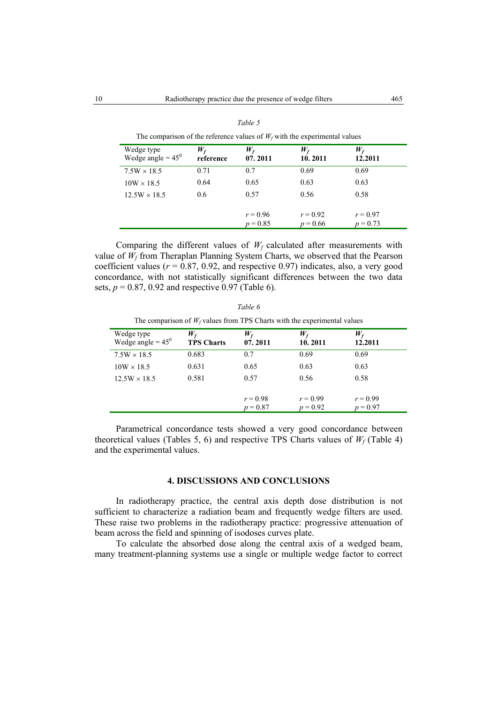| Wedge type<br>Wedge angle = $45^{\circ}$ | $W_{f}$<br>reference | $W_f$<br>07.2011         | $W_{f}$<br>10.2011       | $W_{\mathsf{f}}$<br>12.2011 |
|------------------------------------------|----------------------|--------------------------|--------------------------|-----------------------------|
| $7.5W \times 18.5$                       | 0.71                 | 0.7                      | 0.69                     | 0.69                        |
| $10W \times 18.5$                        | 0.64                 | 0.65                     | 0.63                     | 0.63                        |
| $12.5W \times 18.5$                      | 0.6                  | 0.57                     | 0.56                     | 0.58                        |
|                                          |                      | $r = 0.96$<br>$p = 0.85$ | $r = 0.92$<br>$p = 0.66$ | $r = 0.97$<br>$p = 0.73$    |

The comparison of the reference values of  $W_f$  with the experimental values

Comparing the different values of  $W_f$  calculated after measurements with value of  $W_f$  from Theraplan Planning System Charts, we observed that the Pearson coefficient values  $(r = 0.87, 0.92,$  and respective 0.97) indicates, also, a very good concordance, with not statistically significant differences between the two data sets,  $p = 0.87$ , 0.92 and respective 0.97 (Table 6).

| Table 6                                                                     |
|-----------------------------------------------------------------------------|
| The comparison of $W_f$ values from TPS Charts with the experimental values |

| Wedge type<br>Wedge angle = $45^{\circ}$ | $W_{f}$<br><b>TPS Charts</b> | $W_{f}$<br>07.2011 | $W_{\rm f}$<br>10.2011 | $W_{\rm f}$<br>12.2011 |
|------------------------------------------|------------------------------|--------------------|------------------------|------------------------|
| $7.5W \times 18.5$                       | 0.683                        | 0.7                | 0.69                   | 0.69                   |
| $10W \times 18.5$                        | 0.631                        | 0.65               | 0.63                   | 0.63                   |
| $12.5W \times 18.5$                      | 0.581                        | 0.57               | 0.56                   | 0.58                   |
|                                          |                              |                    |                        |                        |
|                                          |                              | $r = 0.98$         | $r = 0.99$             | $r = 0.99$             |
|                                          |                              | $p = 0.87$         | $p = 0.92$             | $p = 0.97$             |

Parametrical concordance tests showed a very good concordance between theoretical values (Tables 5, 6) and respective TPS Charts values of  $W_f$  (Table 4) and the experimental values.

### **4. DISCUSSIONS AND CONCLUSIONS**

In radiotherapy practice, the central axis depth dose distribution is not sufficient to characterize a radiation beam and frequently wedge filters are used. These raise two problems in the radiotherapy practice: progressive attenuation of beam across the field and spinning of isodoses curves plate.

 To calculate the absorbed dose along the central axis of a wedged beam, many treatment-planning systems use a single or multiple wedge factor to correct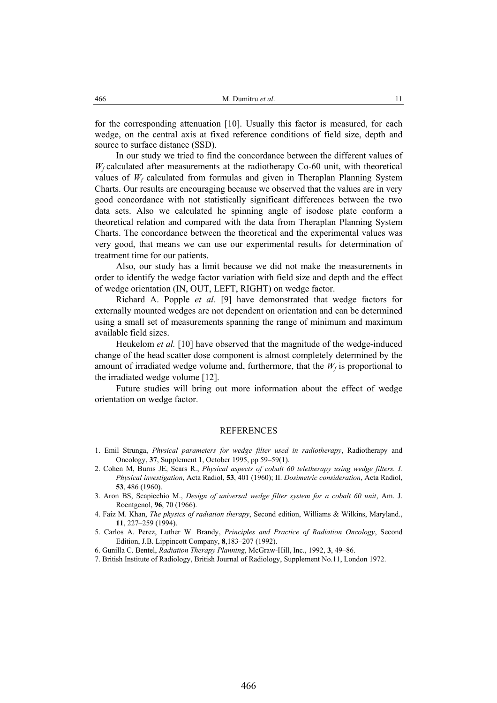for the corresponding attenuation [10]. Usually this factor is measured, for each wedge, on the central axis at fixed reference conditions of field size, depth and source to surface distance (SSD).

In our study we tried to find the concordance between the different values of  $W_f$  calculated after measurements at the radiotherapy Co-60 unit, with theoretical values of  $W_f$  calculated from formulas and given in Theraplan Planning System Charts. Our results are encouraging because we observed that the values are in very good concordance with not statistically significant differences between the two data sets. Also we calculated he spinning angle of isodose plate conform a theoretical relation and compared with the data from Theraplan Planning System Charts. The concordance between the theoretical and the experimental values was very good, that means we can use our experimental results for determination of treatment time for our patients.

Also, our study has a limit because we did not make the measurements in order to identify the wedge factor variation with field size and depth and the effect of wedge orientation (IN, OUT, LEFT, RIGHT) on wedge factor.

 Richard A. Popple *et al.* [9] have demonstrated that wedge factors for externally mounted wedges are not dependent on orientation and can be determined using a small set of measurements spanning the range of minimum and maximum available field sizes.

Heukelom *et al.* [10] have observed that the magnitude of the wedge-induced change of the head scatter dose component is almost completely determined by the amount of irradiated wedge volume and, furthermore, that the  $W_f$  is proportional to the irradiated wedge volume [12].

 Future studies will bring out more information about the effect of wedge orientation on wedge factor.

#### REFERENCES

- 1. Emil Strunga, *Physical parameters for wedge filter used in radiotherapy*, Radiotherapy and Oncology, **37**, Supplement 1, October 1995, pp 59–59(1).
- 2. Cohen M, Burns JE, Sears R., *Physical aspects of cobalt 60 teletherapy using wedge filters. I. Physical investigation*, Acta Radiol, **53**, 401 (1960); II. *Dosimetric consideration*, Acta Radiol, **53**, 486 (1960).
- 3. Aron BS, Scapicchio M., *Design of universal wedge filter system for a cobalt 60 unit*, Am. J. Roentgenol, **96**, 70 (1966).
- 4. Faiz M. Khan, *The physics of radiation therapy*, Second edition, Williams & Wilkins, Maryland., **11**, 227–259 (1994).
- 5. Carlos A. Perez, Luther W. Brandy, *Principles and Practice of Radiation Oncology*, Second Edition, J.B. Lippincott Company, **8**,183–207 (1992).
- 6. Gunilla C. Bentel, *Radiation Therapy Planning*, McGraw-Hill, Inc., 1992, **3**, 49–86.
- 7. British Institute of Radiology, British Journal of Radiology, Supplement No.11, London 1972.